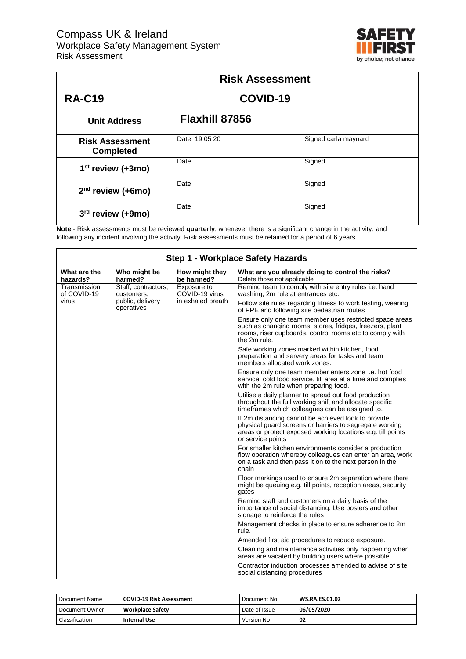

| <b>Risk Assessment</b>                     |                |                      |  |
|--------------------------------------------|----------------|----------------------|--|
| <b>RA-C19</b>                              | COVID-19       |                      |  |
| <b>Unit Address</b>                        | Flaxhill 87856 |                      |  |
| <b>Risk Assessment</b><br><b>Completed</b> | Date 19 05 20  | Signed carla maynard |  |
| $1st$ review (+3mo)                        | Date           | Signed               |  |
| $2nd$ review (+6mo)                        | Date           | Signed               |  |
| $3rd$ review (+9mo)                        | Date           | Signed               |  |

**Note** - Risk assessments must be reviewed **quarterly**, whenever there is a significant change in the activity, and following any incident involving the activity. Risk assessments must be retained for a period of 6 years.

| Step 1 - Workplace Safety Hazards |                                   |                               |                                                                                                                                                                                                    |  |
|-----------------------------------|-----------------------------------|-------------------------------|----------------------------------------------------------------------------------------------------------------------------------------------------------------------------------------------------|--|
| What are the<br>hazards?          | Who might be<br>harmed?           | How might they<br>be harmed?  | What are you already doing to control the risks?<br>Delete those not applicable                                                                                                                    |  |
| Transmission<br>of COVID-19       | Staff, contractors,<br>customers, | Exposure to<br>COVID-19 virus | Remind team to comply with site entry rules i.e. hand<br>washing, 2m rule at entrances etc.                                                                                                        |  |
| virus                             | public, delivery<br>operatives    | in exhaled breath             | Follow site rules regarding fitness to work testing, wearing<br>of PPE and following site pedestrian routes                                                                                        |  |
|                                   |                                   |                               | Ensure only one team member uses restricted space areas<br>such as changing rooms, stores, fridges, freezers, plant<br>rooms, riser cupboards, control rooms etc to comply with<br>the 2m rule.    |  |
|                                   |                                   |                               | Safe working zones marked within kitchen, food<br>preparation and servery areas for tasks and team<br>members allocated work zones.                                                                |  |
|                                   |                                   |                               | Ensure only one team member enters zone i.e. hot food<br>service, cold food service, till area at a time and complies<br>with the 2m rule when preparing food.                                     |  |
|                                   |                                   |                               | Utilise a daily planner to spread out food production<br>throughout the full working shift and allocate specific<br>timeframes which colleagues can be assigned to.                                |  |
|                                   |                                   |                               | If 2m distancing cannot be achieved look to provide<br>physical quard screens or barriers to segregate working<br>areas or protect exposed working locations e.g. till points<br>or service points |  |
|                                   |                                   |                               | For smaller kitchen environments consider a production<br>flow operation whereby colleagues can enter an area, work<br>on a task and then pass it on to the next person in the<br>chain            |  |
|                                   |                                   |                               | Floor markings used to ensure 2m separation where there<br>might be queuing e.g. till points, reception areas, security<br>gates                                                                   |  |
|                                   |                                   |                               | Remind staff and customers on a daily basis of the<br>importance of social distancing. Use posters and other<br>signage to reinforce the rules                                                     |  |
|                                   |                                   |                               | Management checks in place to ensure adherence to 2m<br>rule.                                                                                                                                      |  |
|                                   |                                   |                               | Amended first aid procedures to reduce exposure.                                                                                                                                                   |  |
|                                   |                                   |                               | Cleaning and maintenance activities only happening when<br>areas are vacated by building users where possible                                                                                      |  |
|                                   |                                   |                               | Contractor induction processes amended to advise of site<br>social distancing procedures                                                                                                           |  |

| Document Name  | <b>COVID-19 Risk Assessment</b> | Document No   | <b>WS.RA.ES.01.02</b> |
|----------------|---------------------------------|---------------|-----------------------|
| Document Owner | <b>Workplace Safety</b>         | Date of Issue | 06/05/2020            |
| Classification | Internal Use                    | Version No    | -02                   |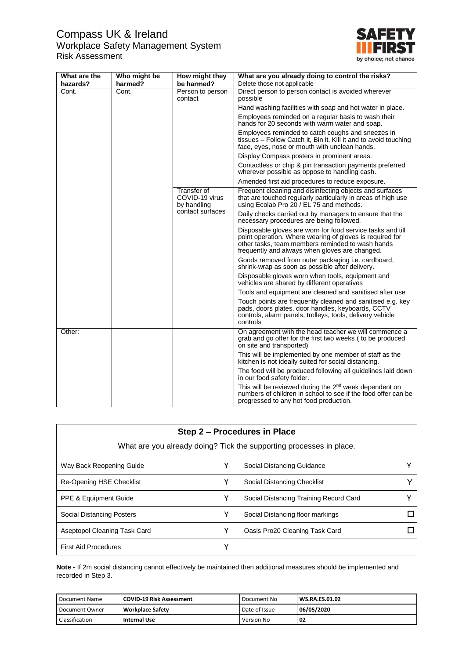## Compass UK & Ireland Workplace Safety Management System Risk Assessment



| What are the | Who might be | How might they                                      | What are you already doing to control the risks?                                                                                                                                                                             |  |
|--------------|--------------|-----------------------------------------------------|------------------------------------------------------------------------------------------------------------------------------------------------------------------------------------------------------------------------------|--|
| hazards?     | harmed?      | be harmed?                                          | Delete those not applicable                                                                                                                                                                                                  |  |
| Cont.        | Cont.        | Person to person<br>contact                         | Direct person to person contact is avoided wherever<br>possible                                                                                                                                                              |  |
|              |              |                                                     | Hand washing facilities with soap and hot water in place.                                                                                                                                                                    |  |
|              |              |                                                     | Employees reminded on a regular basis to wash their<br>hands for 20 seconds with warm water and soap.                                                                                                                        |  |
|              |              |                                                     | Employees reminded to catch coughs and sneezes in<br>tissues - Follow Catch it, Bin it, Kill it and to avoid touching<br>face, eyes, nose or mouth with unclean hands.                                                       |  |
|              |              |                                                     | Display Compass posters in prominent areas.                                                                                                                                                                                  |  |
|              |              |                                                     | Contactless or chip & pin transaction payments preferred<br>wherever possible as oppose to handling cash.                                                                                                                    |  |
|              |              |                                                     | Amended first aid procedures to reduce exposure.                                                                                                                                                                             |  |
|              |              | <b>Transfer of</b><br>COVID-19 virus<br>by handling | Frequent cleaning and disinfecting objects and surfaces<br>that are touched regularly particularly in areas of high use<br>using Ecolab Pro 20 / EL 75 and methods.                                                          |  |
|              |              | contact surfaces                                    | Daily checks carried out by managers to ensure that the<br>necessary procedures are being followed.                                                                                                                          |  |
|              |              |                                                     | Disposable gloves are worn for food service tasks and till<br>point operation. Where wearing of gloves is required for<br>other tasks, team members reminded to wash hands<br>frequently and always when gloves are changed. |  |
|              |              |                                                     | Goods removed from outer packaging i.e. cardboard,<br>shrink-wrap as soon as possible after delivery.                                                                                                                        |  |
|              |              |                                                     | Disposable gloves worn when tools, equipment and<br>vehicles are shared by different operatives                                                                                                                              |  |
|              |              |                                                     | Tools and equipment are cleaned and sanitised after use                                                                                                                                                                      |  |
|              |              |                                                     | Touch points are frequently cleaned and sanitised e.g. key<br>pads, doors plates, door handles, keyboards, CCTV<br>controls, alarm panels, trolleys, tools, delivery vehicle<br>controls                                     |  |
| Other:       |              |                                                     | On agreement with the head teacher we will commence a<br>grab and go offer for the first two weeks (to be produced<br>on site and transported)                                                                               |  |
|              |              |                                                     | This will be implemented by one member of staff as the<br>kitchen is not ideally suited for social distancing.                                                                                                               |  |
|              |              |                                                     | The food will be produced following all guidelines laid down<br>in our food safety folder.                                                                                                                                   |  |
|              |              |                                                     | This will be reviewed during the 2 <sup>nd</sup> week dependent on<br>numbers of children in school to see if the food offer can be<br>progressed to any hot food production.                                                |  |

| Step 2 – Procedures in Place     |   |                                                                     |  |  |
|----------------------------------|---|---------------------------------------------------------------------|--|--|
|                                  |   | What are you already doing? Tick the supporting processes in place. |  |  |
| Way Back Reopening Guide         | Υ | Social Distancing Guidance                                          |  |  |
| Re-Opening HSE Checklist         | Υ | Social Distancing Checklist                                         |  |  |
| <b>PPE &amp; Equipment Guide</b> | Υ | Social Distancing Training Record Card                              |  |  |
| Social Distancing Posters        | v | Social Distancing floor markings                                    |  |  |
| Aseptopol Cleaning Task Card     | Y | Oasis Pro20 Cleaning Task Card                                      |  |  |
| <b>First Aid Procedures</b>      | γ |                                                                     |  |  |

**Note -** If 2m social distancing cannot effectively be maintained then additional measures should be implemented and recorded in Step 3.

| Document Name  | <b>COVID-19 Risk Assessment</b> | Document No   | <b>WS.RA.ES.01.02</b> |
|----------------|---------------------------------|---------------|-----------------------|
| Document Owner | <b>Workplace Safety</b>         | Date of Issue | 06/05/2020            |
| Classification | Internal Use                    | Version No    | - 02                  |